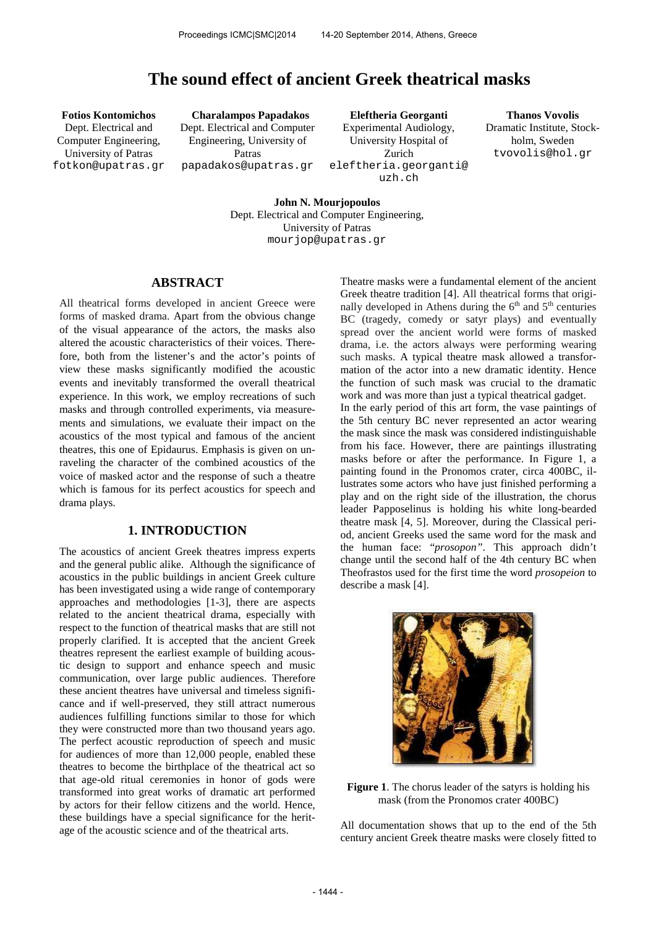# **The sound effect of ancient Greek theatrical masks**

Dept. Electrical and Computer Engineering, University of Patras [fotkon@upatras.gr](mailto:author1@smcnetwork.org?subject=SMC%202010%20paper)

**Fotios Kontomichos Charalampos Papadakos Eleftheria Georganti Thanos Vovolis** Dept. Electrical and Computer Engineering, University of Patras papadakos@upatras.gr

Experimental Audiology, University Hospital of Zurich eleftheria.georganti@ uzh.ch

Dramatic Institute, Stockholm, Sweden tvovolis@hol.gr

**John N. Mourjopoulos** Dept. Electrical and Computer Engineering, University of Patras mourjop@upatras.gr

# **ABSTRACT**

All theatrical forms developed in ancient Greece were forms of masked drama. Apart from the obvious change of the visual appearance of the actors, the masks also altered the acoustic characteristics of their voices. Therefore, both from the listener's and the actor's points of view these masks significantly modified the acoustic events and inevitably transformed the overall theatrical experience. In this work, we employ recreations of such masks and through controlled experiments, via measurements and simulations, we evaluate their impact on the acoustics of the most typical and famous of the ancient theatres, this one of Epidaurus. Emphasis is given on unraveling the character of the combined acoustics of the voice of masked actor and the response of such a theatre which is famous for its perfect acoustics for speech and drama plays.

# **1. INTRODUCTION**

The acoustics of ancient Greek theatres impress experts and the general public alike. Although the significance of acoustics in the public buildings in ancient Greek culture has been investigated using a wide range of contemporary approaches and methodologies [1-3], there are aspects related to the ancient theatrical drama, especially with respect to the function of theatrical masks that are still not properly clarified. It is accepted that the ancient Greek theatres represent the earliest example of building acoustic design to support and enhance speech and music communication, over large public audiences. Therefore these ancient theatres have universal and timeless significance and if well-preserved, they still attract numerous audiences fulfilling functions similar to those for which they were constructed more than two thousand years ago. The perfect acoustic reproduction of speech and music for audiences of more than 12,000 people, enabled these theatres to become the birthplace of the theatrical act so that age-old ritual ceremonies in honor of gods were transformed into great works of dramatic art performed by actors for their fellow citizens and the world. Hence, these buildings have a special significance for the heritage of the acoustic science and of the theatrical arts.

Theatre masks were a fundamental element of the ancient Greek theatre tradition [4]. All theatrical forms that originally developed in Athens during the  $6<sup>th</sup>$  and  $5<sup>th</sup>$  centuries BC (tragedy, comedy or satyr plays) and eventually spread over the ancient world were forms of masked drama, i.e. the actors always were performing wearing such masks. A typical theatre mask allowed a transformation of the actor into a new dramatic identity. Hence the function of such mask was crucial to the dramatic work and was more than just a typical theatrical gadget. In the early period of this art form, the vase paintings of the 5th century BC never represented an actor wearing the mask since the mask was considered indistinguishable from his face. However, there are paintings illustrating masks before or after the performance. In Figure 1, a painting found in the Pronomos crater, circa 400BC, illustrates some actors who have just finished performing a play and on the right side of the illustration, the chorus leader Papposelinus is holding his white long-bearded theatre mask [4, 5]. Moreover, during the Classical period, ancient Greeks used the same word for the mask and the human face: "*prosopon"*. This approach didn't change until the second half of the 4th century BC when Theofrastos used for the first time the word *prosopeion* to describe a mask [4].



**Figure 1**. The chorus leader of the satyrs is holding his mask (from the Pronomos crater 400BC)

All documentation shows that up to the end of the 5th century ancient Greek theatre masks were closely fitted to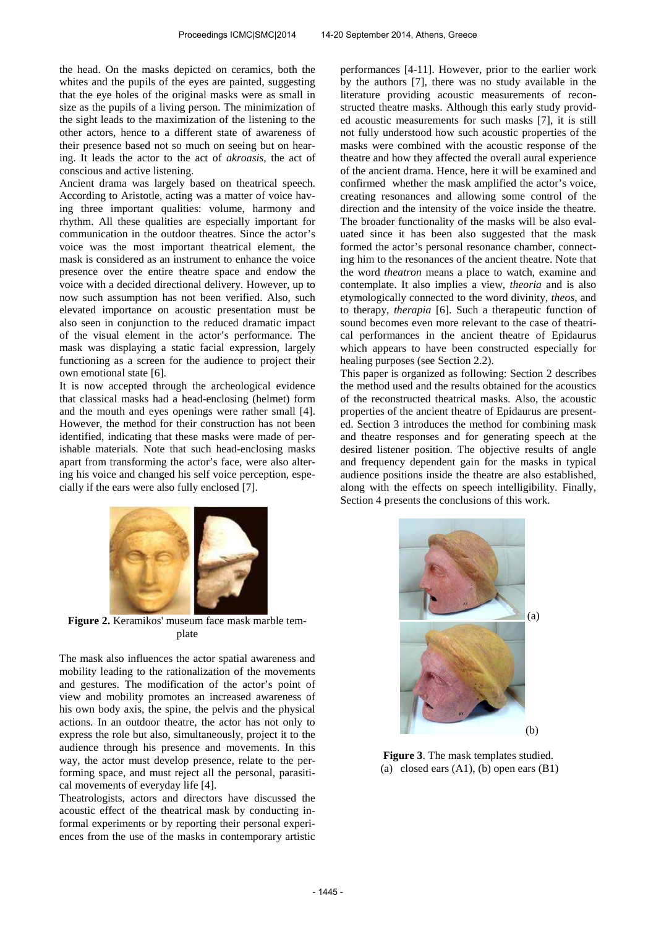the head. On the masks depicted on ceramics, both the whites and the pupils of the eyes are painted, suggesting that the eye holes of the original masks were as small in size as the pupils of a living person. The minimization of the sight leads to the maximization of the listening to the other actors, hence to a different state of awareness of their presence based not so much on seeing but on hearing. It leads the actor to the act of *akroasis*, the act of conscious and active listening.

Ancient drama was largely based on theatrical speech. According to Aristotle, acting was a matter of voice having three important qualities: volume, harmony and rhythm. All these qualities are especially important for communication in the outdoor theatres. Since the actor's voice was the most important theatrical element, the mask is considered as an instrument to enhance the voice presence over the entire theatre space and endow the voice with a decided directional delivery. However, up to now such assumption has not been verified. Also, such elevated importance on acoustic presentation must be also seen in conjunction to the reduced dramatic impact of the visual element in the actor's performance. The mask was displaying a static facial expression, largely functioning as a screen for the audience to project their own emotional state [6].

It is now accepted through the archeological evidence that classical masks had a head-enclosing (helmet) form and the mouth and eyes openings were rather small [4]. However, the method for their construction has not been identified, indicating that these masks were made of perishable materials. Note that such head-enclosing masks apart from transforming the actor's face, were also altering his voice and changed his self voice perception, especially if the ears were also fully enclosed [7].

performances [4-11]. However, prior to the earlier work by the authors [7], there was no study available in the literature providing acoustic measurements of reconstructed theatre masks. Although this early study provided acoustic measurements for such masks [7], it is still not fully understood how such acoustic properties of the masks were combined with the acoustic response of the theatre and how they affected the overall aural experience of the ancient drama. Hence, here it will be examined and confirmed whether the mask amplified the actor's voice, creating resonances and allowing some control of the direction and the intensity of the voice inside the theatre. The broader functionality of the masks will be also evaluated since it has been also suggested that the mask formed the actor's personal resonance chamber, connecting him to the resonances of the ancient theatre. Note that the word *theatron* means a place to watch, examine and contemplate. It also implies a view, *theoria* and is also etymologically connected to the word divinity, *theos*, and to therapy, *therapia* [6]. Such a therapeutic function of sound becomes even more relevant to the case of theatrical performances in the ancient theatre of Epidaurus which appears to have been constructed especially for healing purposes (see Section 2.2).

This paper is organized as following: Section 2 describes the method used and the results obtained for the acoustics of the reconstructed theatrical masks. Also, the acoustic properties of the ancient theatre of Epidaurus are presented. Section 3 introduces the method for combining mask and theatre responses and for generating speech at the desired listener position. The objective results of angle and frequency dependent gain for the masks in typical audience positions inside the theatre are also established, along with the effects on speech intelligibility. Finally, Section 4 presents the conclusions of this work.



**Figure 2.** Keramikos' museum face mask marble template

The mask also influences the actor spatial awareness and mobility leading to the rationalization of the movements and gestures. The modification of the actor's point of view and mobility promotes an increased awareness of his own body axis, the spine, the pelvis and the physical actions. In an outdoor theatre, the actor has not only to express the role but also, simultaneously, project it to the audience through his presence and movements. In this way, the actor must develop presence, relate to the performing space, and must reject all the personal, parasitical movements of everyday life [4].

Theatrologists, actors and directors have discussed the acoustic effect of the theatrical mask by conducting informal experiments or by reporting their personal experiences from the use of the masks in contemporary artistic



**Figure 3**. The mask templates studied. (a) closed ears  $(A1)$ ,  $(b)$  open ears  $(B1)$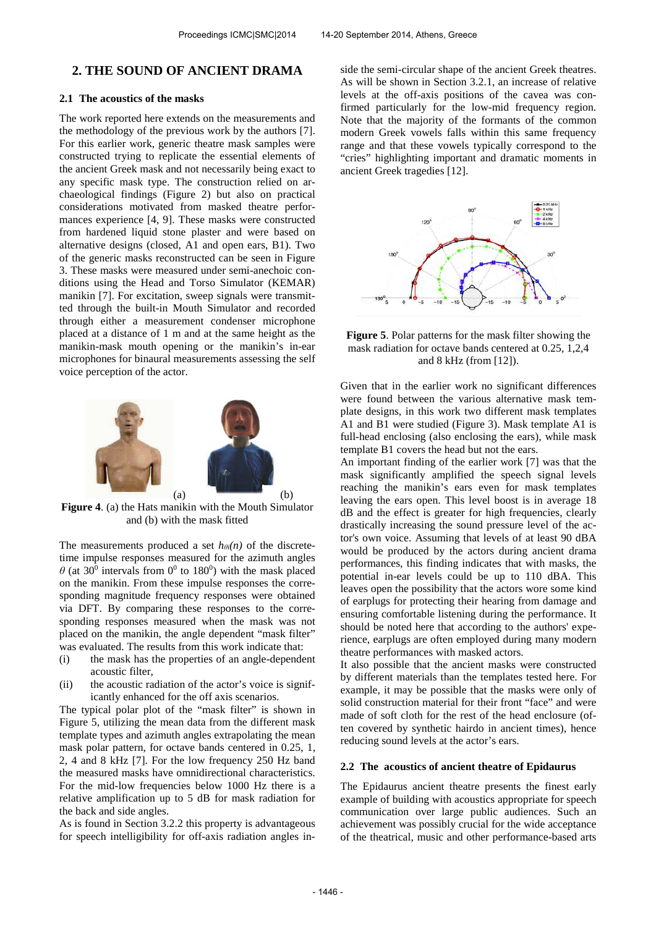# **2. THE SOUND OF ANCIENT DRAMA**

### **2.1 The acoustics of the masks**

The work reported here extends on the measurements and the methodology of the previous work by the authors [7]. For this earlier work, generic theatre mask samples were constructed trying to replicate the essential elements of the ancient Greek mask and not necessarily being exact to any specific mask type. The construction relied on archaeological findings (Figure 2) but also on practical considerations motivated from masked theatre performances experience [4, 9]. These masks were constructed from hardened liquid stone plaster and were based on alternative designs (closed, A1 and open ears, B1). Two of the generic masks reconstructed can be seen in Figure 3. These masks were measured under semi-anechoic conditions using the Head and Torso Simulator (KEMAR) manikin [7]. For excitation, sweep signals were transmitted through the built-in Mouth Simulator and recorded through either a measurement condenser microphone placed at a distance of 1 m and at the same height as the manikin-mask mouth opening or the manikin's in-ear microphones for binaural measurements assessing the self voice perception of the actor.



**Figure 4**. (a) the Hats manikin with the Mouth Simulator and (b) with the mask fitted

The measurements produced a set  $h_{\theta i}(n)$  of the discretetime impulse responses measured for the azimuth angles  $\theta$  (at 30<sup>0</sup> intervals from 0<sup>0</sup> to 180<sup>0</sup>) with the mask placed on the manikin. From these impulse responses the corresponding magnitude frequency responses were obtained via DFT. By comparing these responses to the corresponding responses measured when the mask was not placed on the manikin, the angle dependent "mask filter" was evaluated. The results from this work indicate that:

- (i) the mask has the properties of an angle-dependent acoustic filter,
- (ii) the acoustic radiation of the actor's voice is significantly enhanced for the off axis scenarios.

The typical polar plot of the "mask filter" is shown in Figure 5, utilizing the mean data from the different mask template types and azimuth angles extrapolating the mean mask polar pattern, for octave bands centered in 0.25, 1, 2, 4 and 8 kHz [7]. For the low frequency 250 Hz band the measured masks have omnidirectional characteristics. For the mid-low frequencies below 1000 Hz there is a relative amplification up to 5 dB for mask radiation for the back and side angles.

As is found in Section 3.2.2 this property is advantageous for speech intelligibility for off-axis radiation angles in-

side the semi-circular shape of the ancient Greek theatres. As will be shown in Section 3.2.1, an increase of relative levels at the off-axis positions of the cavea was confirmed particularly for the low-mid frequency region. Note that the majority of the formants of the common modern Greek vowels falls within this same frequency range and that these vowels typically correspond to the "cries" highlighting important and dramatic moments in ancient Greek tragedies [12].



**Figure 5**. Polar patterns for the mask filter showing the mask radiation for octave bands centered at 0.25, 1,2,4 and 8 kHz (from [12]).

Given that in the earlier work no significant differences were found between the various alternative mask template designs, in this work two different mask templates A1 and B1 were studied (Figure 3). Mask template A1 is full-head enclosing (also enclosing the ears), while mask template B1 covers the head but not the ears.

An important finding of the earlier work [7] was that the mask significantly amplified the speech signal levels reaching the manikin's ears even for mask templates leaving the ears open. This level boost is in average 18 dB and the effect is greater for high frequencies, clearly drastically increasing the sound pressure level of the actor's own voice. Assuming that levels of at least 90 dBA would be produced by the actors during ancient drama performances, this finding indicates that with masks, the potential in-ear levels could be up to 110 dBA. This leaves open the possibility that the actors wore some kind of earplugs for protecting their hearing from damage and ensuring comfortable listening during the performance. It should be noted here that according to the authors' experience, earplugs are often employed during many modern theatre performances with masked actors.

It also possible that the ancient masks were constructed by different materials than the templates tested here. For example, it may be possible that the masks were only of solid construction material for their front "face" and were made of soft cloth for the rest of the head enclosure (often covered by synthetic hairdo in ancient times), hence reducing sound levels at the actor's ears.

## **2.2 The acoustics of ancient theatre of Epidaurus**

The Epidaurus ancient theatre presents the finest early example of building with acoustics appropriate for speech communication over large public audiences. Such an achievement was possibly crucial for the wide acceptance of the theatrical, music and other performance-based arts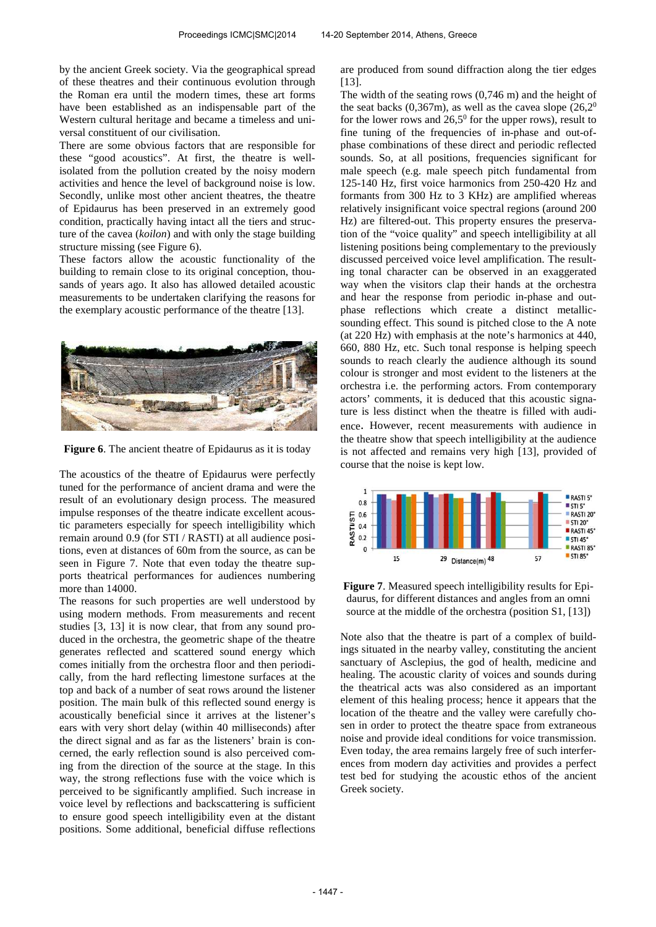by the ancient Greek society. Via the geographical spread of these theatres and their continuous evolution through the Roman era until the modern times, these art forms have been established as an indispensable part of the Western cultural heritage and became a timeless and universal constituent of our civilisation.

There are some obvious factors that are responsible for these "good acoustics". At first, the theatre is wellisolated from the pollution created by the noisy modern activities and hence the level of background noise is low. Secondly, unlike most other ancient theatres, the theatre of Epidaurus has been preserved in an extremely good condition, practically having intact all the tiers and structure of the cavea (*koilon*) and with only the stage building structure missing (see Figure 6).

These factors allow the acoustic functionality of the building to remain close to its original conception, thousands of years ago. It also has allowed detailed acoustic measurements to be undertaken clarifying the reasons for the exemplary acoustic performance of the theatre [13].



**Figure 6**. The ancient theatre of Epidaurus as it is today

The acoustics of the theatre of Epidaurus were perfectly tuned for the performance of ancient drama and were the result of an evolutionary design process. The measured impulse responses of the theatre indicate excellent acoustic parameters especially for speech intelligibility which remain around 0.9 (for STI / RASTI) at all audience positions, even at distances of 60m from the source, as can be seen in Figure 7. Note that even today the theatre supports theatrical performances for audiences numbering more than 14000.

The reasons for such properties are well understood by using modern methods. From measurements and recent studies [3, 13] it is now clear, that from any sound produced in the orchestra, the geometric shape of the theatre generates reflected and scattered sound energy which comes initially from the orchestra floor and then periodically, from the hard reflecting limestone surfaces at the top and back of a number of seat rows around the listener position. The main bulk of this reflected sound energy is acoustically beneficial since it arrives at the listener's ears with very short delay (within 40 milliseconds) after the direct signal and as far as the listeners' brain is concerned, the early reflection sound is also perceived coming from the direction of the source at the stage. In this way, the strong reflections fuse with the voice which is perceived to be significantly amplified. Such increase in voice level by reflections and backscattering is sufficient to ensure good speech intelligibility even at the distant positions. Some additional, beneficial diffuse reflections

are produced from sound diffraction along the tier edges [13].

The width of the seating rows (0,746 m) and the height of the seat backs  $(0,367m)$ , as well as the cavea slope  $(26,2^0)$ for the lower rows and  $26,5^{\circ}$  for the upper rows), result to fine tuning of the frequencies of in-phase and out-ofphase combinations of these direct and periodic reflected sounds. So, at all positions, frequencies significant for male speech (e.g. male speech pitch fundamental from 125-140 Hz, first voice harmonics from 250-420 Hz and formants from 300 Hz to 3 KHz) are amplified whereas relatively insignificant voice spectral regions (around 200 Hz) are filtered-out. This property ensures the preservation of the "voice quality" and speech intelligibility at all listening positions being complementary to the previously discussed perceived voice level amplification. The resulting tonal character can be observed in an exaggerated way when the visitors clap their hands at the orchestra and hear the response from periodic in-phase and outphase reflections which create a distinct metallicsounding effect. This sound is pitched close to the A note (at 220 Hz) with emphasis at the note's harmonics at 440, 660, 880 Hz, etc. Such tonal response is helping speech sounds to reach clearly the audience although its sound colour is stronger and most evident to the listeners at the orchestra i.e. the performing actors. From contemporary actors' comments, it is deduced that this acoustic signature is less distinct when the theatre is filled with audience. However, recent measurements with audience in the theatre show that speech intelligibility at the audience is not affected and remains very high [13], provided of course that the noise is kept low.



**Figure 7**. Measured speech intelligibility results for Epidaurus, for different distances and angles from an omni source at the middle of the orchestra (position S1, [13])

Note also that the theatre is part of a complex of buildings situated in the nearby valley, constituting the ancient sanctuary of Asclepius, the god of health, medicine and healing. The acoustic clarity of voices and sounds during the theatrical acts was also considered as an important element of this healing process; hence it appears that the location of the theatre and the valley were carefully chosen in order to protect the theatre space from extraneous noise and provide ideal conditions for voice transmission. Even today, the area remains largely free of such interferences from modern day activities and provides a perfect test bed for studying the acoustic ethos of the ancient Greek society.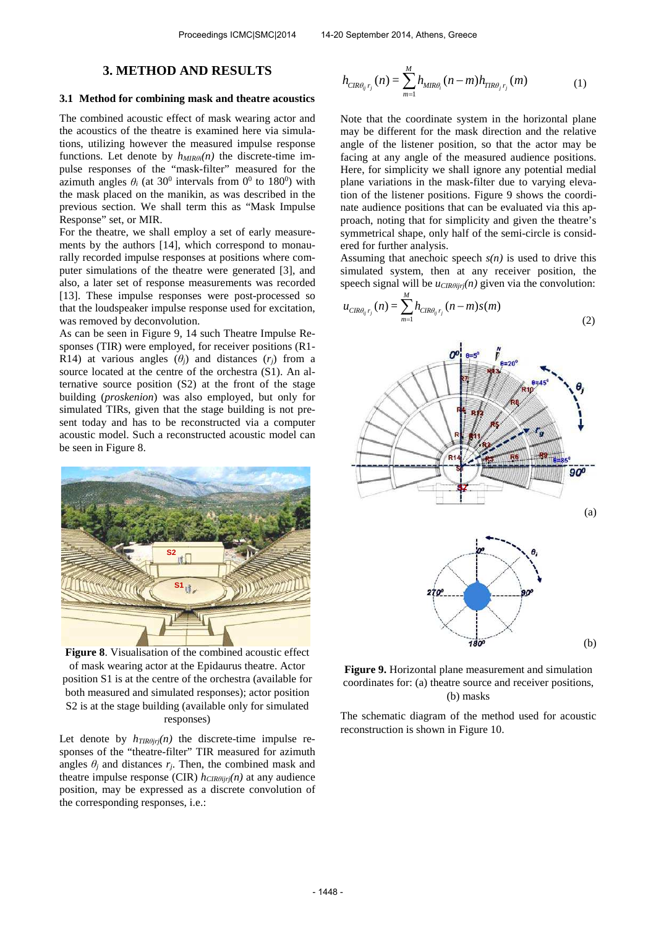## **3. METHOD AND RESULTS**

#### **3.1 Method for combining mask and theatre acoustics**

The combined acoustic effect of mask wearing actor and the acoustics of the theatre is examined here via simulations, utilizing however the measured impulse response functions. Let denote by *hMIRθ<sup>i</sup>(n)* the discrete-time impulse responses of the "mask-filter" measured for the azimuth angles  $\theta_i$  (at 30<sup>0</sup> intervals from 0<sup>0</sup> to 180<sup>0</sup>) with the mask placed on the manikin, as was described in the previous section. We shall term this as "Mask Impulse Response" set, or MIR.

For the theatre, we shall employ a set of early measurements by the authors [14], which correspond to monaurally recorded impulse responses at positions where computer simulations of the theatre were generated [3], and also, a later set of response measurements was recorded [13]. These impulse responses were post-processed so that the loudspeaker impulse response used for excitation, was removed by deconvolution.

As can be seen in Figure 9, 14 such Theatre Impulse Responses (TIR) were employed, for receiver positions (R1- R14) at various angles  $(\theta_i)$  and distances  $(r_i)$  from a source located at the centre of the orchestra (S1). An alternative source position (S2) at the front of the stage building (*proskenion*) was also employed, but only for simulated TIRs, given that the stage building is not present today and has to be reconstructed via a computer acoustic model. Such a reconstructed acoustic model can be seen in Figure 8.



**Figure 8**. Visualisation of the combined acoustic effect of mask wearing actor at the Epidaurus theatre. Actor position S1 is at the centre of the orchestra (available for both measured and simulated responses); actor position S2 is at the stage building (available only for simulated responses)

Let denote by  $h_{TIR\theta jrj}(n)$  the discrete-time impulse responses of the "theatre-filter" TIR measured for azimuth angles  $\theta_j$  and distances  $r_j$ . Then, the combined mask and theatre impulse response (CIR)  $h_{CIR\theta ijrj}(n)$  at any audience position, may be expressed as a discrete convolution of the corresponding responses, i.e.:

$$
h_{CIR\theta_{ij}r_j}(n) = \sum_{m=1}^{M} h_{MIR\theta_i}(n-m)h_{TIR\theta_jr_j}(m)
$$
 (1)

Note that the coordinate system in the horizontal plane may be different for the mask direction and the relative angle of the listener position, so that the actor may be facing at any angle of the measured audience positions. Here, for simplicity we shall ignore any potential medial plane variations in the mask-filter due to varying elevation of the listener positions. Figure 9 shows the coordinate audience positions that can be evaluated via this approach, noting that for simplicity and given the theatre's symmetrical shape, only half of the semi-circle is considered for further analysis.

Assuming that anechoic speech  $s(n)$  is used to drive this simulated system, then at any receiver position, the speech signal will be *uCIRθijrj*(*n*) given via the convolution:

$$
u_{CIR\theta_{ij}r_j}(n) = \sum_{m=1}^{M} h_{CIR\theta_{ij}r_j}(n-m)s(m)
$$
\n(2)



**Figure 9.** Horizontal plane measurement and simulation coordinates for: (a) theatre source and receiver positions, (b) masks

The schematic diagram of the method used for acoustic reconstruction is shown in Figure 10.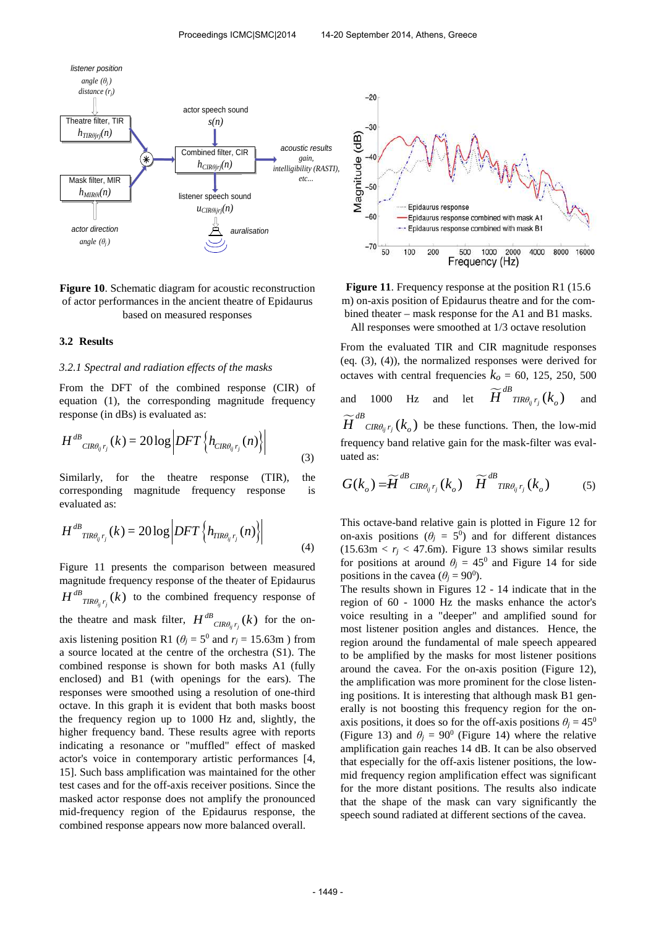

## **Figure 10**. Schematic diagram for acoustic reconstruction of actor performances in the ancient theatre of Epidaurus based on measured responses

#### **3.2 Results**

## *3.2.1 Spectral and radiation effects of the masks*

From the DFT of the combined response (CIR) of equation (1), the corresponding magnitude frequency response (in dBs) is evaluated as:

$$
H^{dB}_{CIR\theta_{ij}r_j}(k) = 20\log\left|DFT\left\{h_{CIR\theta_{ij}r_j}(n)\right\}\right|
$$
\n(3)

Similarly, for the theatre response (TIR), the corresponding magnitude frequency response is evaluated as:

$$
H^{dB}_{TR\theta_{ij}r_j}(k) = 20\log\left|DFT\left\{h_{TR\theta_{ij}r_j}(n)\right\}\right|
$$
\n(4)

Figure 11 presents the comparison between measured magnitude frequency response of the theater of Epidaurus  $H^{dB}$ <sub>*TIR* $\theta_{ij}$ *r<sub>j</sub></sub> (k)* to the combined frequency response of</sub> the theatre and mask filter,  $H^{dB}_{CR\theta_{ij}r_j}(k)$  for the onaxis listening position R1 ( $\theta$ *j* = 5<sup>0</sup> and  $r$ *j* = 15.63m) from a source located at the centre of the orchestra (S1). The combined response is shown for both masks A1 (fully enclosed) and B1 (with openings for the ears). The responses were smoothed using a resolution of one-third octave. In this graph it is evident that both masks boost the frequency region up to 1000 Hz and, slightly, the higher frequency band. These results agree with reports indicating a resonance or "muffled" effect of masked actor's voice in contemporary artistic performances [4, 15]. Such bass amplification was maintained for the other test cases and for the off-axis receiver positions. Since the masked actor response does not amplify the pronounced mid-frequency region of the Epidaurus response, the combined response appears now more balanced overall.



Figure 11. Frequency response at the position R1 (15.6) m) on-axis position of Epidaurus theatre and for the combined theater – mask response for the A1 and B1 masks.

All responses were smoothed at 1/3 octave resolution

From the evaluated TIR and CIR magnitude responses (eq. (3), (4)), the normalized responses were derived for octaves with central frequencies  $k<sub>o</sub> = 60$ , 125, 250, 500 and 1000 Hz and let  $\widetilde{H}^{dB}_{TR\theta_{ij}r_j}(k_o)$  and  $\widetilde{H}^{dB}_{CR\theta_{ij}r_j}(k_o)$  be these functions. Then, the low-mid frequency band relative gain for the mask-filter was evaluated as:

$$
G(k_o) = \widetilde{H}^{dB}_{CR\theta_{ij}r_j}(k_o) \quad \widetilde{H}^{dB}_{TR\theta_{ij}r_j}(k_o) \tag{5}
$$

This octave-band relative gain is plotted in Figure 12 for on-axis positions ( $\theta$ <sup>*j*</sup> = 5<sup>0</sup>) and for different distances  $(15.63 \text{m} < r_i < 47.6 \text{m})$ . Figure 13 shows similar results for positions at around  $\theta$ <sup>*j*</sup> = 45<sup>0</sup> and Figure 14 for side positions in the cavea ( $\theta$ <sup>*j*</sup> = 90<sup>0</sup>).

The results shown in Figures 12 - 14 indicate that in the region of 60 - 1000 Hz the masks enhance the actor's voice resulting in a "deeper" and amplified sound for most listener position angles and distances. Hence, the region around the fundamental of male speech appeared to be amplified by the masks for most listener positions around the cavea. For the on-axis position (Figure 12), the amplification was more prominent for the close listening positions. It is interesting that although mask B1 generally is not boosting this frequency region for the onaxis positions, it does so for the off-axis positions  $\theta$ <sup>*j*</sup> = 45<sup>0</sup> (Figure 13) and  $\theta$ <sup>*j*</sup> = 90<sup>0</sup> (Figure 14) where the relative amplification gain reaches 14 dB. It can be also observed that especially for the off-axis listener positions, the lowmid frequency region amplification effect was significant for the more distant positions. The results also indicate that the shape of the mask can vary significantly the speech sound radiated at different sections of the cavea.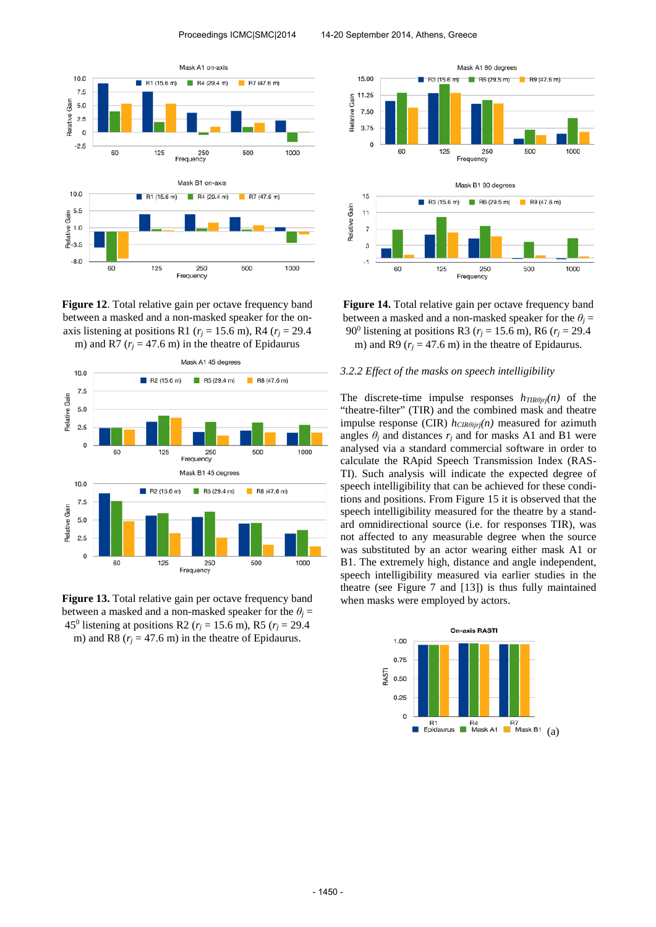

**Figure 12**. Total relative gain per octave frequency band between a masked and a non-masked speaker for the onaxis listening at positions R1 ( $r_j$  = 15.6 m), R4 ( $r_j$  = 29.4 m) and R7 ( $r_i$  = 47.6 m) in the theatre of Epidaurus



Figure 13. Total relative gain per octave frequency band between a masked and a non-masked speaker for the  $\theta$ <sup>*j*</sup> = 45<sup>0</sup> listening at positions R2 ( $r_j$  = 15.6 m), R5 ( $r_j$  = 29.4 m) and R8 ( $r_j$  = 47.6 m) in the theatre of Epidaurus.



**Figure 14.** Total relative gain per octave frequency band between a masked and a non-masked speaker for the  $\theta$ <sup>*j*</sup> = 90<sup>0</sup> listening at positions R3 ( $r_j$  = 15.6 m), R6 ( $r_j$  = 29.4 m) and R9 ( $r_i$  = 47.6 m) in the theatre of Epidaurus.

#### *3.2.2 Effect of the masks on speech intelligibility*

The discrete-time impulse responses  $h_{TIR\theta j r j}(n)$  of the "theatre-filter" (TIR) and the combined mask and theatre impulse response (CIR) *hCIRθijrj(n)* measured for azimuth angles  $\theta_i$  and distances  $r_i$  and for masks A1 and B1 were analysed via a standard commercial software in order to calculate the RApid Speech Transmission Index (RAS-TI). Such analysis will indicate the expected degree of speech intelligibility that can be achieved for these conditions and positions. From Figure 15 it is observed that the speech intelligibility measured for the theatre by a standard omnidirectional source (i.e. for responses TIR), was not affected to any measurable degree when the source was substituted by an actor wearing either mask A1 or B1. The extremely high, distance and angle independent, speech intelligibility measured via earlier studies in the theatre (see Figure 7 and [13]) is thus fully maintained when masks were employed by actors.

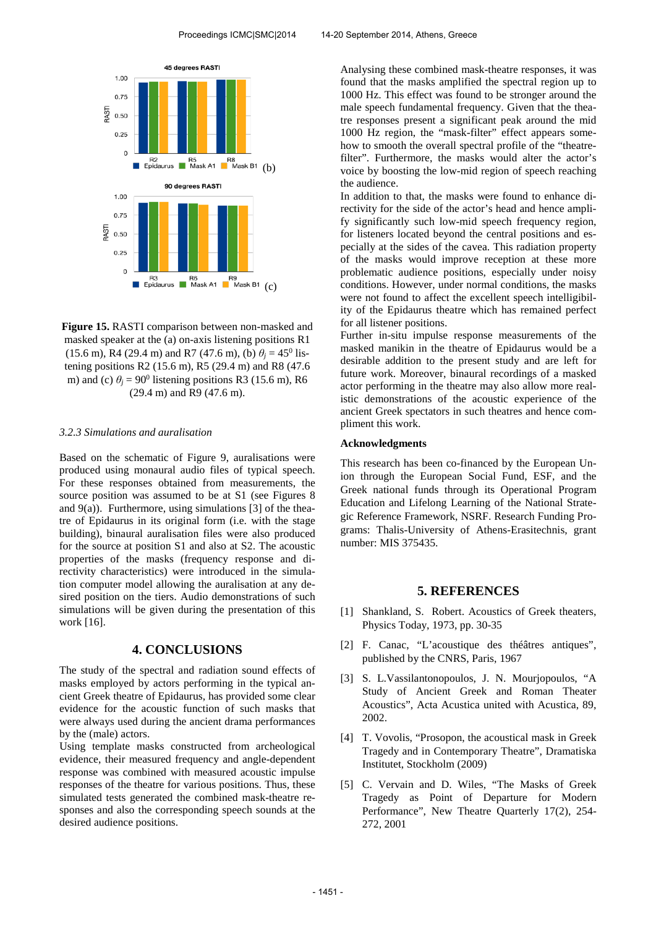

**Figure 15.** RASTI comparison between non-masked and masked speaker at the (a) on-axis listening positions R1  $(15.6 \text{ m})$ , R4 (29.4 m) and R7 (47.6 m), (b)  $\theta_j = 45^\circ$  listening positions R2 (15.6 m), R5 (29.4 m) and R8 (47.6 m) and (c)  $\theta$ <sup>*j*</sup> = 90<sup>0</sup> listening positions R3 (15.6 m), R6 (29.4 m) and R9 (47.6 m).

#### *3.2.3 Simulations and auralisation*

Based on the schematic of Figure 9, auralisations were produced using monaural audio files of typical speech. For these responses obtained from measurements, the source position was assumed to be at S1 (see Figures 8 and  $9(a)$ ). Furthermore, using simulations [3] of the theatre of Epidaurus in its original form (i.e. with the stage building), binaural auralisation files were also produced for the source at position S1 and also at S2. The acoustic properties of the masks (frequency response and directivity characteristics) were introduced in the simulation computer model allowing the auralisation at any desired position on the tiers. Audio demonstrations of such simulations will be given during the presentation of this work [16].

## **4. CONCLUSIONS**

The study of the spectral and radiation sound effects of masks employed by actors performing in the typical ancient Greek theatre of Epidaurus, has provided some clear evidence for the acoustic function of such masks that were always used during the ancient drama performances by the (male) actors.

Using template masks constructed from archeological evidence, their measured frequency and angle-dependent response was combined with measured acoustic impulse responses of the theatre for various positions. Thus, these simulated tests generated the combined mask-theatre responses and also the corresponding speech sounds at the desired audience positions.

Analysing these combined mask-theatre responses, it was found that the masks amplified the spectral region up to 1000 Hz. This effect was found to be stronger around the male speech fundamental frequency. Given that the theatre responses present a significant peak around the mid 1000 Hz region, the "mask-filter" effect appears somehow to smooth the overall spectral profile of the "theatrefilter". Furthermore, the masks would alter the actor's voice by boosting the low-mid region of speech reaching the audience.

In addition to that, the masks were found to enhance directivity for the side of the actor's head and hence amplify significantly such low-mid speech frequency region, for listeners located beyond the central positions and especially at the sides of the cavea. This radiation property of the masks would improve reception at these more problematic audience positions, especially under noisy conditions. However, under normal conditions, the masks were not found to affect the excellent speech intelligibility of the Epidaurus theatre which has remained perfect for all listener positions.

Further in-situ impulse response measurements of the masked manikin in the theatre of Epidaurus would be a desirable addition to the present study and are left for future work. Moreover, binaural recordings of a masked actor performing in the theatre may also allow more realistic demonstrations of the acoustic experience of the ancient Greek spectators in such theatres and hence compliment this work.

#### **Acknowledgments**

This research has been co-financed by the European Union through the European Social Fund, ESF, and the Greek national funds through its Operational Program Education and Lifelong Learning of the National Strategic Reference Framework, NSRF. Research Funding Programs: Thalis-University of Athens-Erasitechnis, grant number: MIS 375435.

#### **5. REFERENCES**

- [1] Shankland, S. Robert. Acoustics of Greek theaters, Physics Today, 1973, pp. 30-35
- [2] F. Canac, "L'acoustique des théâtres antiques", published by the CNRS, Paris, 1967
- [3] S. L.Vassilantonopoulos, J. N. Mourjopoulos, "A Study of Ancient Greek and Roman Theater Acoustics", Acta Acustica united with Acustica, 89, 2002.
- [4] T. Vovolis, "Prosopon, the acoustical mask in Greek Tragedy and in Contemporary Theatre", Dramatiska Institutet, Stockholm (2009)
- [5] C. Vervain and D. Wiles, "The Masks of Greek Tragedy as Point of Departure for Modern Performance", New Theatre Quarterly 17(2), 254- 272, 2001